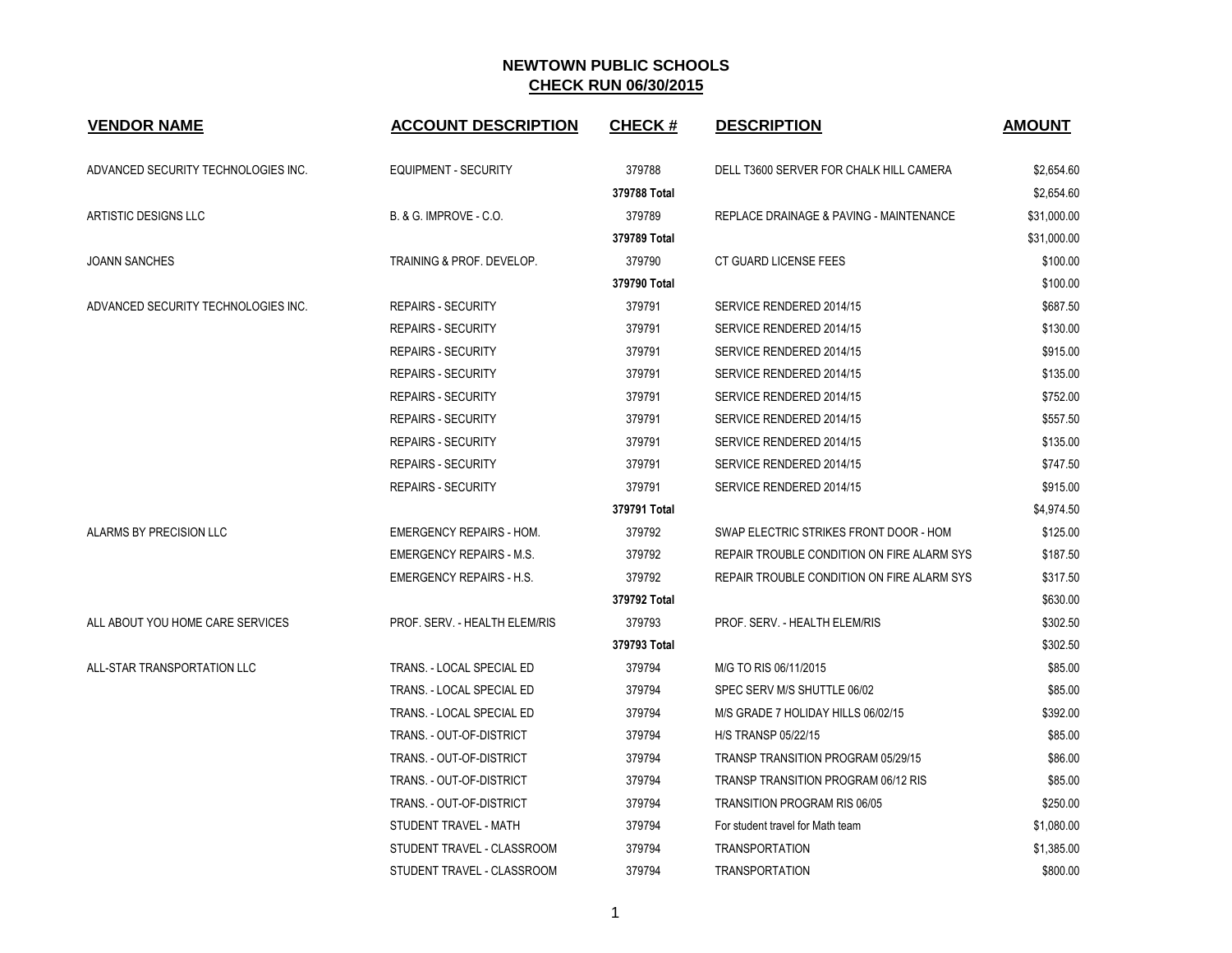| <b>VENDOR NAME</b>                  | <b>ACCOUNT DESCRIPTION</b>        | <b>CHECK#</b> | <b>DESCRIPTION</b>                         | <b>AMOUNT</b> |
|-------------------------------------|-----------------------------------|---------------|--------------------------------------------|---------------|
| ADVANCED SECURITY TECHNOLOGIES INC. | <b>EQUIPMENT - SECURITY</b>       | 379788        | DELL T3600 SERVER FOR CHALK HILL CAMERA    | \$2.654.60    |
|                                     |                                   | 379788 Total  |                                            | \$2,654.60    |
| ARTISTIC DESIGNS LLC                | <b>B. &amp; G. IMPROVE - C.O.</b> | 379789        | REPLACE DRAINAGE & PAVING - MAINTENANCE    | \$31,000.00   |
|                                     |                                   | 379789 Total  |                                            | \$31,000.00   |
| <b>JOANN SANCHES</b>                | TRAINING & PROF. DEVELOP.         | 379790        | CT GUARD LICENSE FEES                      | \$100.00      |
|                                     |                                   | 379790 Total  |                                            | \$100.00      |
| ADVANCED SECURITY TECHNOLOGIES INC. | <b>REPAIRS - SECURITY</b>         | 379791        | SERVICE RENDERED 2014/15                   | \$687.50      |
|                                     | <b>REPAIRS - SECURITY</b>         | 379791        | SERVICE RENDERED 2014/15                   | \$130.00      |
|                                     | <b>REPAIRS - SECURITY</b>         | 379791        | SERVICE RENDERED 2014/15                   | \$915.00      |
|                                     | <b>REPAIRS - SECURITY</b>         | 379791        | SERVICE RENDERED 2014/15                   | \$135.00      |
|                                     | <b>REPAIRS - SECURITY</b>         | 379791        | SERVICE RENDERED 2014/15                   | \$752.00      |
|                                     | <b>REPAIRS - SECURITY</b>         | 379791        | SERVICE RENDERED 2014/15                   | \$557.50      |
|                                     | <b>REPAIRS - SECURITY</b>         | 379791        | SERVICE RENDERED 2014/15                   | \$135.00      |
|                                     | <b>REPAIRS - SECURITY</b>         | 379791        | SERVICE RENDERED 2014/15                   | \$747.50      |
|                                     | <b>REPAIRS - SECURITY</b>         | 379791        | SERVICE RENDERED 2014/15                   | \$915.00      |
|                                     |                                   | 379791 Total  |                                            | \$4,974.50    |
| ALARMS BY PRECISION LLC             | <b>EMERGENCY REPAIRS - HOM.</b>   | 379792        | SWAP ELECTRIC STRIKES FRONT DOOR - HOM     | \$125.00      |
|                                     | <b>EMERGENCY REPAIRS - M.S.</b>   | 379792        | REPAIR TROUBLE CONDITION ON FIRE ALARM SYS | \$187.50      |
|                                     | <b>EMERGENCY REPAIRS - H.S.</b>   | 379792        | REPAIR TROUBLE CONDITION ON FIRE ALARM SYS | \$317.50      |
|                                     |                                   | 379792 Total  |                                            | \$630.00      |
| ALL ABOUT YOU HOME CARE SERVICES    | PROF. SERV. - HEALTH ELEM/RIS     | 379793        | PROF. SERV. - HEALTH ELEM/RIS              | \$302.50      |
|                                     |                                   | 379793 Total  |                                            | \$302.50      |
| ALL-STAR TRANSPORTATION LLC         | TRANS. - LOCAL SPECIAL ED         | 379794        | M/G TO RIS 06/11/2015                      | \$85.00       |
|                                     | TRANS. - LOCAL SPECIAL ED         | 379794        | SPEC SERV M/S SHUTTLE 06/02                | \$85.00       |
|                                     | TRANS. - LOCAL SPECIAL ED         | 379794        | M/S GRADE 7 HOLIDAY HILLS 06/02/15         | \$392.00      |
|                                     | TRANS. - OUT-OF-DISTRICT          | 379794        | <b>H/S TRANSP 05/22/15</b>                 | \$85.00       |
|                                     | TRANS. - OUT-OF-DISTRICT          | 379794        | TRANSP TRANSITION PROGRAM 05/29/15         | \$86.00       |
|                                     | TRANS. - OUT-OF-DISTRICT          | 379794        | TRANSP TRANSITION PROGRAM 06/12 RIS        | \$85.00       |
|                                     | TRANS. - OUT-OF-DISTRICT          | 379794        | TRANSITION PROGRAM RIS 06/05               | \$250.00      |
|                                     | STUDENT TRAVEL - MATH             | 379794        | For student travel for Math team           | \$1,080.00    |
|                                     | STUDENT TRAVEL - CLASSROOM        | 379794        | <b>TRANSPORTATION</b>                      | \$1,385.00    |
|                                     | STUDENT TRAVEL - CLASSROOM        | 379794        | <b>TRANSPORTATION</b>                      | \$800.00      |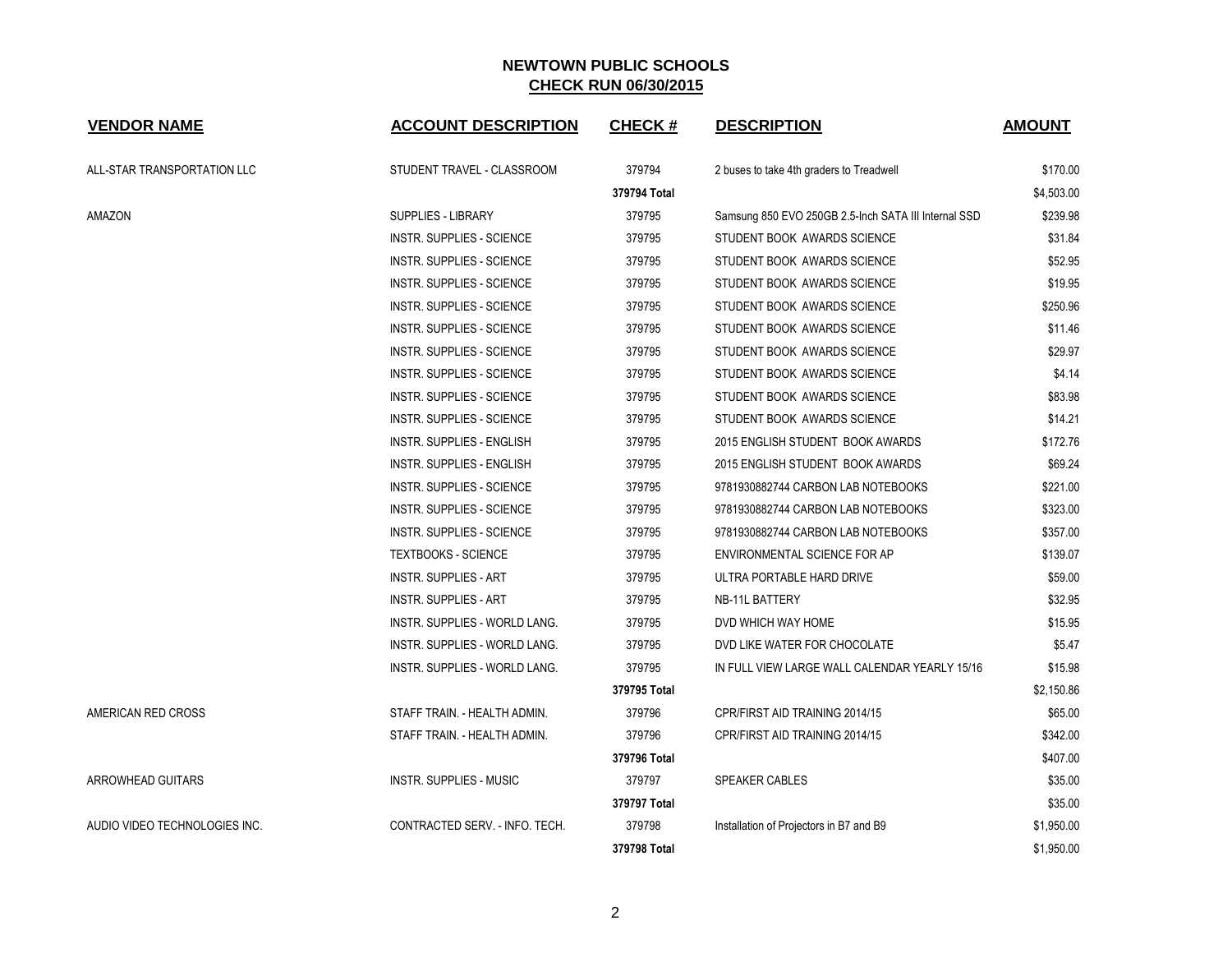| <b>VENDOR NAME</b>            | <b>ACCOUNT DESCRIPTION</b>       | <b>CHECK#</b> | <b>DESCRIPTION</b>                                   | <b>AMOUNT</b> |
|-------------------------------|----------------------------------|---------------|------------------------------------------------------|---------------|
| ALL-STAR TRANSPORTATION LLC   | STUDENT TRAVEL - CLASSROOM       | 379794        | 2 buses to take 4th graders to Treadwell             | \$170.00      |
|                               |                                  | 379794 Total  |                                                      | \$4,503.00    |
| AMAZON                        | SUPPLIES - LIBRARY               | 379795        | Samsung 850 EVO 250GB 2.5-Inch SATA III Internal SSD | \$239.98      |
|                               | <b>INSTR. SUPPLIES - SCIENCE</b> | 379795        | STUDENT BOOK AWARDS SCIENCE                          | \$31.84       |
|                               | INSTR. SUPPLIES - SCIENCE        | 379795        | STUDENT BOOK AWARDS SCIENCE                          | \$52.95       |
|                               | INSTR. SUPPLIES - SCIENCE        | 379795        | STUDENT BOOK AWARDS SCIENCE                          | \$19.95       |
|                               | INSTR. SUPPLIES - SCIENCE        | 379795        | STUDENT BOOK AWARDS SCIENCE                          | \$250.96      |
|                               | INSTR. SUPPLIES - SCIENCE        | 379795        | STUDENT BOOK AWARDS SCIENCE                          | \$11.46       |
|                               | <b>INSTR. SUPPLIES - SCIENCE</b> | 379795        | STUDENT BOOK AWARDS SCIENCE                          | \$29.97       |
|                               | INSTR. SUPPLIES - SCIENCE        | 379795        | STUDENT BOOK AWARDS SCIENCE                          | \$4.14        |
|                               | INSTR. SUPPLIES - SCIENCE        | 379795        | STUDENT BOOK AWARDS SCIENCE                          | \$83.98       |
|                               | INSTR. SUPPLIES - SCIENCE        | 379795        | STUDENT BOOK AWARDS SCIENCE                          | \$14.21       |
|                               | <b>INSTR. SUPPLIES - ENGLISH</b> | 379795        | 2015 ENGLISH STUDENT BOOK AWARDS                     | \$172.76      |
|                               | INSTR. SUPPLIES - ENGLISH        | 379795        | 2015 ENGLISH STUDENT BOOK AWARDS                     | \$69.24       |
|                               | INSTR. SUPPLIES - SCIENCE        | 379795        | 9781930882744 CARBON LAB NOTEBOOKS                   | \$221.00      |
|                               | INSTR. SUPPLIES - SCIENCE        | 379795        | 9781930882744 CARBON LAB NOTEBOOKS                   | \$323.00      |
|                               | INSTR. SUPPLIES - SCIENCE        | 379795        | 9781930882744 CARBON LAB NOTEBOOKS                   | \$357.00      |
|                               | <b>TEXTBOOKS - SCIENCE</b>       | 379795        | ENVIRONMENTAL SCIENCE FOR AP                         | \$139.07      |
|                               | <b>INSTR. SUPPLIES - ART</b>     | 379795        | ULTRA PORTABLE HARD DRIVE                            | \$59.00       |
|                               | <b>INSTR. SUPPLIES - ART</b>     | 379795        | NB-11L BATTERY                                       | \$32.95       |
|                               | INSTR. SUPPLIES - WORLD LANG.    | 379795        | DVD WHICH WAY HOME                                   | \$15.95       |
|                               | INSTR. SUPPLIES - WORLD LANG.    | 379795        | DVD LIKE WATER FOR CHOCOLATE                         | \$5.47        |
|                               | INSTR. SUPPLIES - WORLD LANG.    | 379795        | IN FULL VIEW LARGE WALL CALENDAR YEARLY 15/16        | \$15.98       |
|                               |                                  | 379795 Total  |                                                      | \$2,150.86    |
| AMERICAN RED CROSS            | STAFF TRAIN. - HEALTH ADMIN.     | 379796        | CPR/FIRST AID TRAINING 2014/15                       | \$65.00       |
|                               | STAFF TRAIN. - HEALTH ADMIN.     | 379796        | CPR/FIRST AID TRAINING 2014/15                       | \$342.00      |
|                               |                                  | 379796 Total  |                                                      | \$407.00      |
| ARROWHEAD GUITARS             | <b>INSTR. SUPPLIES - MUSIC</b>   | 379797        | SPEAKER CABLES                                       | \$35.00       |
|                               |                                  | 379797 Total  |                                                      | \$35.00       |
| AUDIO VIDEO TECHNOLOGIES INC. | CONTRACTED SERV. - INFO. TECH.   | 379798        | Installation of Projectors in B7 and B9              | \$1,950.00    |
|                               |                                  | 379798 Total  |                                                      | \$1,950.00    |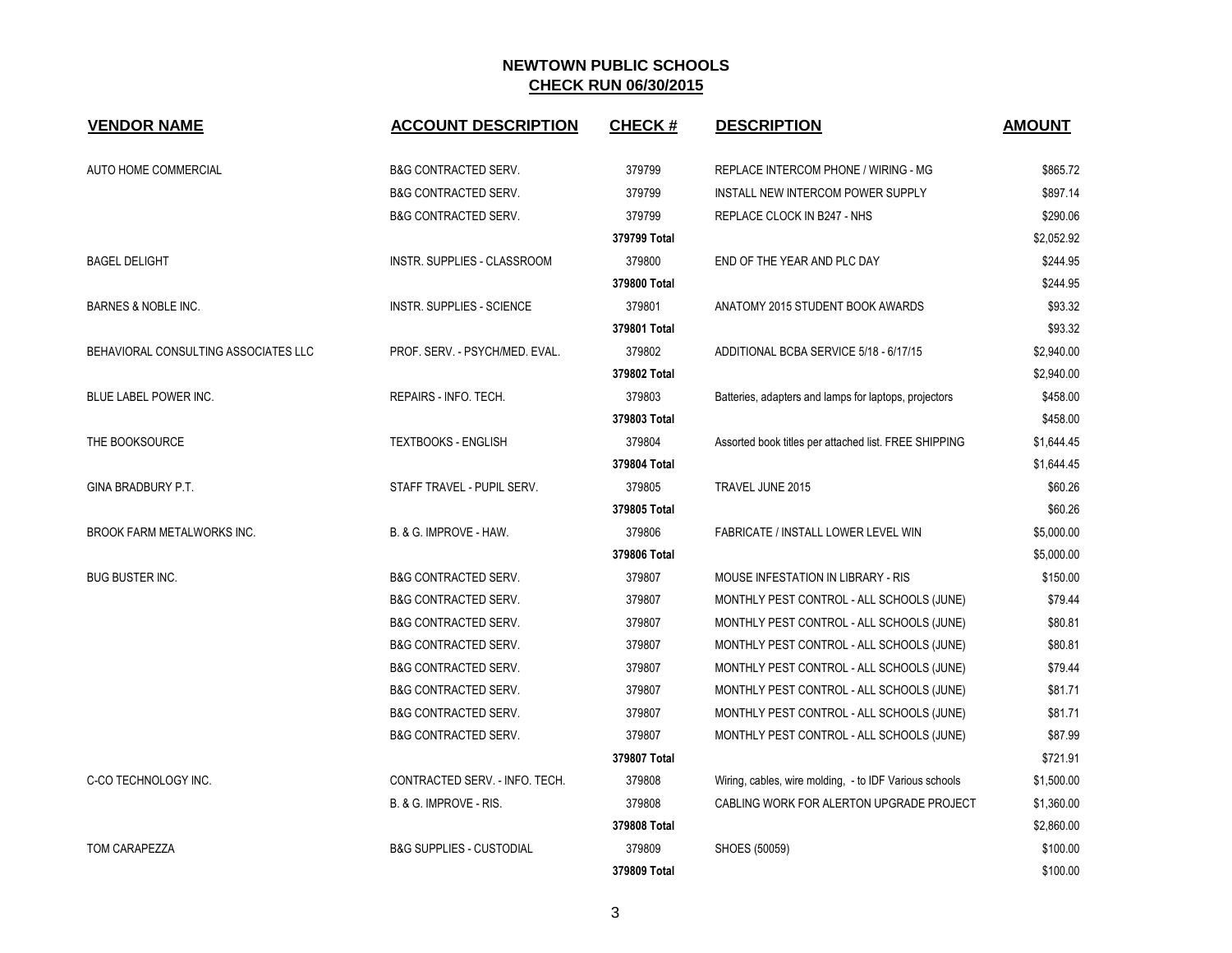| <b>VENDOR NAME</b>                   | <b>ACCOUNT DESCRIPTION</b>          | <b>CHECK#</b> | <b>DESCRIPTION</b>                                     | <b>AMOUNT</b> |
|--------------------------------------|-------------------------------------|---------------|--------------------------------------------------------|---------------|
| AUTO HOME COMMERCIAL                 | <b>B&amp;G CONTRACTED SERV.</b>     | 379799        | REPLACE INTERCOM PHONE / WIRING - MG                   | \$865.72      |
|                                      | <b>B&amp;G CONTRACTED SERV.</b>     | 379799        | INSTALL NEW INTERCOM POWER SUPPLY                      | \$897.14      |
|                                      | <b>B&amp;G CONTRACTED SERV.</b>     | 379799        | REPLACE CLOCK IN B247 - NHS                            | \$290.06      |
|                                      |                                     | 379799 Total  |                                                        | \$2,052.92    |
| <b>BAGEL DELIGHT</b>                 | <b>INSTR. SUPPLIES - CLASSROOM</b>  | 379800        | END OF THE YEAR AND PLC DAY                            | \$244.95      |
|                                      |                                     | 379800 Total  |                                                        | \$244.95      |
| BARNES & NOBLE INC.                  | <b>INSTR. SUPPLIES - SCIENCE</b>    | 379801        | ANATOMY 2015 STUDENT BOOK AWARDS                       | \$93.32       |
|                                      |                                     | 379801 Total  |                                                        | \$93.32       |
| BEHAVIORAL CONSULTING ASSOCIATES LLC | PROF. SERV. - PSYCH/MED. EVAL.      | 379802        | ADDITIONAL BCBA SERVICE 5/18 - 6/17/15                 | \$2,940.00    |
|                                      |                                     | 379802 Total  |                                                        | \$2,940.00    |
| BLUE LABEL POWER INC.                | REPAIRS - INFO. TECH.               | 379803        | Batteries, adapters and lamps for laptops, projectors  | \$458.00      |
|                                      |                                     | 379803 Total  |                                                        | \$458.00      |
| THE BOOKSOURCE                       | <b>TEXTBOOKS - ENGLISH</b>          | 379804        | Assorted book titles per attached list. FREE SHIPPING  | \$1,644.45    |
|                                      |                                     | 379804 Total  |                                                        | \$1,644.45    |
| GINA BRADBURY P.T.                   | STAFF TRAVEL - PUPIL SERV.          | 379805        | TRAVEL JUNE 2015                                       | \$60.26       |
|                                      |                                     | 379805 Total  |                                                        | \$60.26       |
| BROOK FARM METALWORKS INC.           | B. & G. IMPROVE - HAW.              | 379806        | FABRICATE / INSTALL LOWER LEVEL WIN                    | \$5,000.00    |
|                                      |                                     | 379806 Total  |                                                        | \$5,000.00    |
| <b>BUG BUSTER INC.</b>               | <b>B&amp;G CONTRACTED SERV.</b>     | 379807        | MOUSE INFESTATION IN LIBRARY - RIS                     | \$150.00      |
|                                      | <b>B&amp;G CONTRACTED SERV.</b>     | 379807        | MONTHLY PEST CONTROL - ALL SCHOOLS (JUNE)              | \$79.44       |
|                                      | <b>B&amp;G CONTRACTED SERV.</b>     | 379807        | MONTHLY PEST CONTROL - ALL SCHOOLS (JUNE)              | \$80.81       |
|                                      | <b>B&amp;G CONTRACTED SERV.</b>     | 379807        | MONTHLY PEST CONTROL - ALL SCHOOLS (JUNE)              | \$80.81       |
|                                      | <b>B&amp;G CONTRACTED SERV.</b>     | 379807        | MONTHLY PEST CONTROL - ALL SCHOOLS (JUNE)              | \$79.44       |
|                                      | <b>B&amp;G CONTRACTED SERV.</b>     | 379807        | MONTHLY PEST CONTROL - ALL SCHOOLS (JUNE)              | \$81.71       |
|                                      | <b>B&amp;G CONTRACTED SERV.</b>     | 379807        | MONTHLY PEST CONTROL - ALL SCHOOLS (JUNE)              | \$81.71       |
|                                      | <b>B&amp;G CONTRACTED SERV.</b>     | 379807        | MONTHLY PEST CONTROL - ALL SCHOOLS (JUNE)              | \$87.99       |
|                                      |                                     | 379807 Total  |                                                        | \$721.91      |
| C-CO TECHNOLOGY INC.                 | CONTRACTED SERV. - INFO. TECH.      | 379808        | Wiring, cables, wire molding, - to IDF Various schools | \$1,500.00    |
|                                      | B. & G. IMPROVE - RIS.              | 379808        | CABLING WORK FOR ALERTON UPGRADE PROJECT               | \$1,360.00    |
|                                      |                                     | 379808 Total  |                                                        | \$2,860.00    |
| <b>TOM CARAPEZZA</b>                 | <b>B&amp;G SUPPLIES - CUSTODIAL</b> | 379809        | SHOES (50059)                                          | \$100.00      |
|                                      |                                     | 379809 Total  |                                                        | \$100.00      |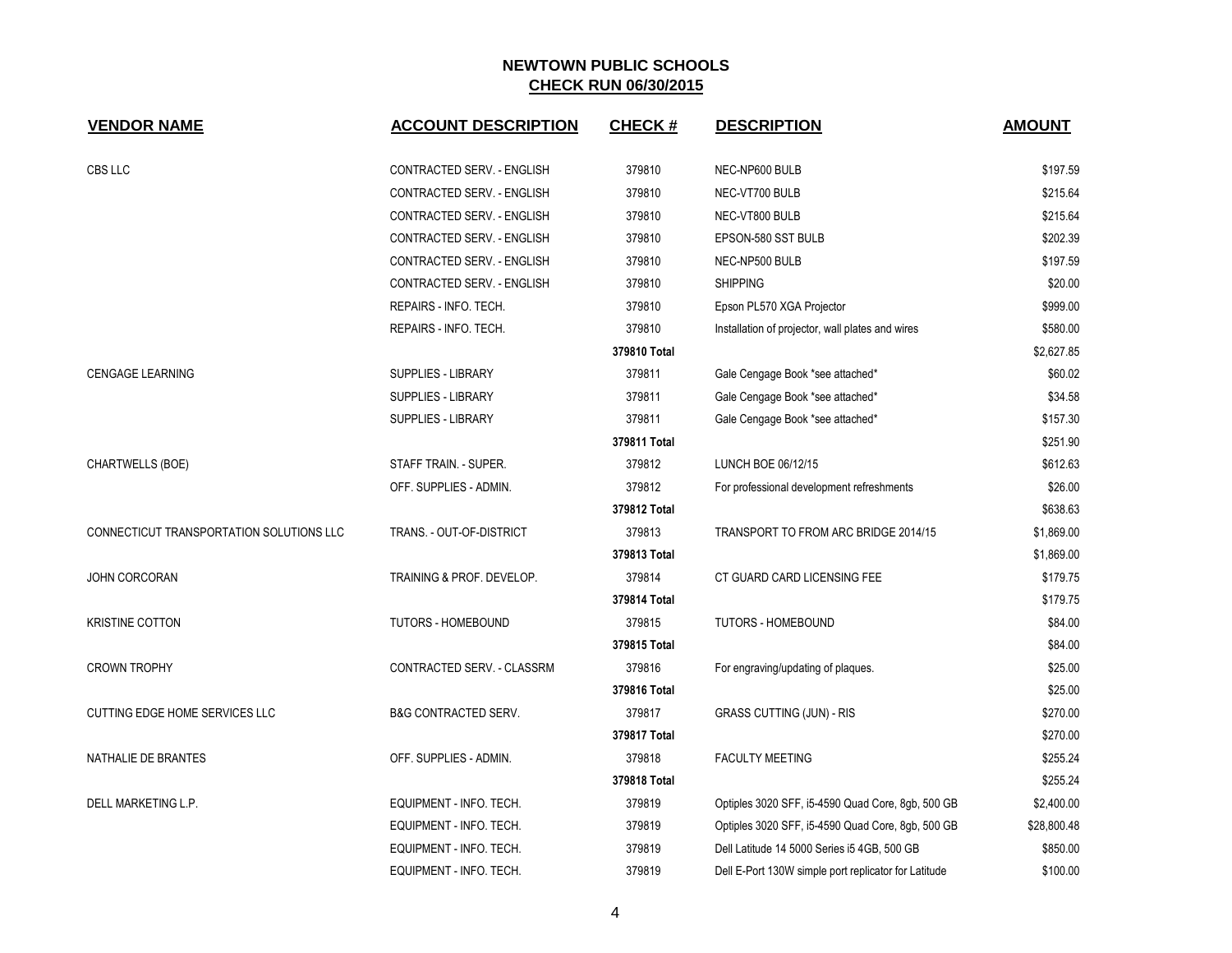| <b>VENDOR NAME</b>                       | <b>ACCOUNT DESCRIPTION</b>      | <b>CHECK#</b> | <b>DESCRIPTION</b>                                   | <b>AMOUNT</b> |
|------------------------------------------|---------------------------------|---------------|------------------------------------------------------|---------------|
|                                          |                                 |               |                                                      |               |
| CBS LLC                                  | CONTRACTED SERV. - ENGLISH      | 379810        | NEC-NP600 BULB                                       | \$197.59      |
|                                          | CONTRACTED SERV. - ENGLISH      | 379810        | NEC-VT700 BULB                                       | \$215.64      |
|                                          | CONTRACTED SERV. - ENGLISH      | 379810        | NEC-VT800 BULB                                       | \$215.64      |
|                                          | CONTRACTED SERV. - ENGLISH      | 379810        | EPSON-580 SST BULB                                   | \$202.39      |
|                                          | CONTRACTED SERV. - ENGLISH      | 379810        | NEC-NP500 BULB                                       | \$197.59      |
|                                          | CONTRACTED SERV. - ENGLISH      | 379810        | <b>SHIPPING</b>                                      | \$20.00       |
|                                          | REPAIRS - INFO. TECH.           | 379810        | Epson PL570 XGA Projector                            | \$999.00      |
|                                          | REPAIRS - INFO. TECH.           | 379810        | Installation of projector, wall plates and wires     | \$580.00      |
|                                          |                                 | 379810 Total  |                                                      | \$2,627.85    |
| <b>CENGAGE LEARNING</b>                  | <b>SUPPLIES - LIBRARY</b>       | 379811        | Gale Cengage Book *see attached*                     | \$60.02       |
|                                          | SUPPLIES - LIBRARY              | 379811        | Gale Cengage Book *see attached*                     | \$34.58       |
|                                          | SUPPLIES - LIBRARY              | 379811        | Gale Cengage Book *see attached*                     | \$157.30      |
|                                          |                                 | 379811 Total  |                                                      | \$251.90      |
| CHARTWELLS (BOE)                         | STAFF TRAIN. - SUPER.           | 379812        | LUNCH BOE 06/12/15                                   | \$612.63      |
|                                          | OFF. SUPPLIES - ADMIN.          | 379812        | For professional development refreshments            | \$26.00       |
|                                          |                                 | 379812 Total  |                                                      | \$638.63      |
| CONNECTICUT TRANSPORTATION SOLUTIONS LLC | TRANS. - OUT-OF-DISTRICT        | 379813        | TRANSPORT TO FROM ARC BRIDGE 2014/15                 | \$1,869.00    |
|                                          |                                 | 379813 Total  |                                                      | \$1,869.00    |
| <b>JOHN CORCORAN</b>                     | TRAINING & PROF. DEVELOP.       | 379814        | CT GUARD CARD LICENSING FEE                          | \$179.75      |
|                                          |                                 | 379814 Total  |                                                      | \$179.75      |
| <b>KRISTINE COTTON</b>                   | <b>TUTORS - HOMEBOUND</b>       | 379815        | <b>TUTORS - HOMEBOUND</b>                            | \$84.00       |
|                                          |                                 | 379815 Total  |                                                      | \$84.00       |
| <b>CROWN TROPHY</b>                      | CONTRACTED SERV. - CLASSRM      | 379816        | For engraving/updating of plaques.                   | \$25.00       |
|                                          |                                 | 379816 Total  |                                                      | \$25.00       |
| CUTTING EDGE HOME SERVICES LLC           | <b>B&amp;G CONTRACTED SERV.</b> | 379817        | <b>GRASS CUTTING (JUN) - RIS</b>                     | \$270.00      |
|                                          |                                 | 379817 Total  |                                                      | \$270.00      |
| NATHALIE DE BRANTES                      | OFF. SUPPLIES - ADMIN.          | 379818        | <b>FACULTY MEETING</b>                               | \$255.24      |
|                                          |                                 | 379818 Total  |                                                      | \$255.24      |
| DELL MARKETING L.P.                      | EQUIPMENT - INFO. TECH.         | 379819        | Optiples 3020 SFF, i5-4590 Quad Core, 8gb, 500 GB    | \$2,400.00    |
|                                          | EQUIPMENT - INFO. TECH.         | 379819        | Optiples 3020 SFF, i5-4590 Quad Core, 8gb, 500 GB    | \$28,800.48   |
|                                          | EQUIPMENT - INFO. TECH.         | 379819        | Dell Latitude 14 5000 Series i5 4GB, 500 GB          | \$850.00      |
|                                          | EQUIPMENT - INFO. TECH.         | 379819        | Dell E-Port 130W simple port replicator for Latitude | \$100.00      |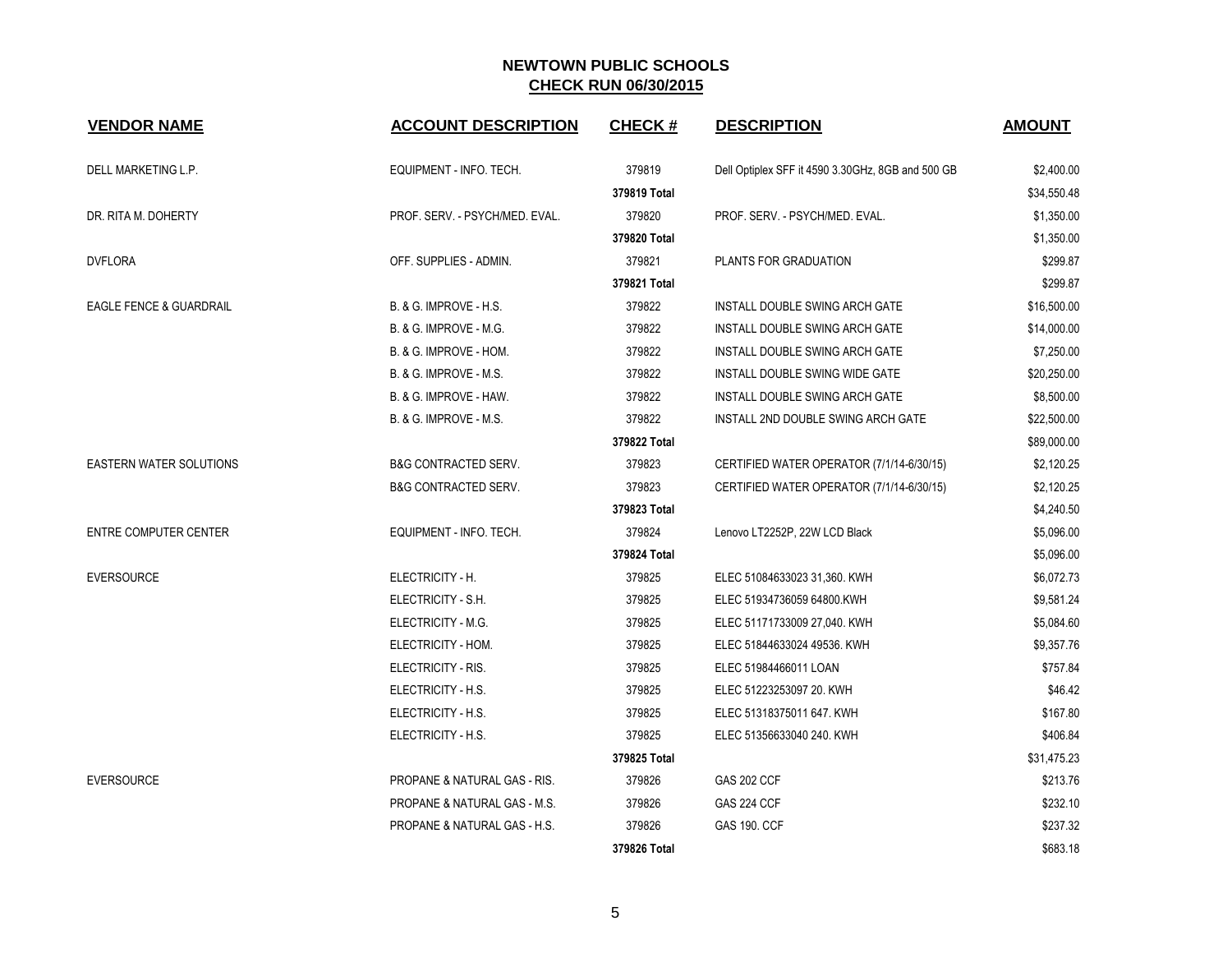| <b>VENDOR NAME</b>                 | <b>ACCOUNT DESCRIPTION</b>              | <b>CHECK#</b> | <b>DESCRIPTION</b>                                | <b>AMOUNT</b> |
|------------------------------------|-----------------------------------------|---------------|---------------------------------------------------|---------------|
| DELL MARKETING L.P.                | EQUIPMENT - INFO. TECH.                 | 379819        | Dell Optiplex SFF it 4590 3.30GHz, 8GB and 500 GB | \$2,400.00    |
|                                    |                                         | 379819 Total  |                                                   | \$34,550.48   |
| DR. RITA M. DOHERTY                | PROF. SERV. - PSYCH/MED. EVAL.          | 379820        | PROF. SERV. - PSYCH/MED. EVAL.                    | \$1,350.00    |
|                                    |                                         | 379820 Total  |                                                   | \$1,350.00    |
| <b>DVFLORA</b>                     | OFF. SUPPLIES - ADMIN.                  | 379821        | PLANTS FOR GRADUATION                             | \$299.87      |
|                                    |                                         | 379821 Total  |                                                   | \$299.87      |
| <b>EAGLE FENCE &amp; GUARDRAIL</b> | B. & G. IMPROVE - H.S.                  | 379822        | INSTALL DOUBLE SWING ARCH GATE                    | \$16,500.00   |
|                                    | <b>B. &amp; G. IMPROVE - M.G.</b>       | 379822        | INSTALL DOUBLE SWING ARCH GATE                    | \$14,000.00   |
|                                    | B. & G. IMPROVE - HOM.                  | 379822        | INSTALL DOUBLE SWING ARCH GATE                    | \$7,250.00    |
|                                    | <b>B. &amp; G. IMPROVE - M.S.</b>       | 379822        | INSTALL DOUBLE SWING WIDE GATE                    | \$20,250.00   |
|                                    | B. & G. IMPROVE - HAW.                  | 379822        | INSTALL DOUBLE SWING ARCH GATE                    | \$8,500.00    |
|                                    | B. & G. IMPROVE - M.S.                  | 379822        | INSTALL 2ND DOUBLE SWING ARCH GATE                | \$22,500.00   |
|                                    |                                         | 379822 Total  |                                                   | \$89,000.00   |
| <b>EASTERN WATER SOLUTIONS</b>     | <b>B&amp;G CONTRACTED SERV.</b>         | 379823        | CERTIFIED WATER OPERATOR (7/1/14-6/30/15)         | \$2,120.25    |
|                                    | <b>B&amp;G CONTRACTED SERV.</b>         | 379823        | CERTIFIED WATER OPERATOR (7/1/14-6/30/15)         | \$2,120.25    |
|                                    |                                         | 379823 Total  |                                                   | \$4,240.50    |
| ENTRE COMPUTER CENTER              | EQUIPMENT - INFO. TECH.                 | 379824        | Lenovo LT2252P, 22W LCD Black                     | \$5,096.00    |
|                                    |                                         | 379824 Total  |                                                   | \$5,096.00    |
| <b>EVERSOURCE</b>                  | ELECTRICITY - H.                        | 379825        | ELEC 51084633023 31,360. KWH                      | \$6,072.73    |
|                                    | ELECTRICITY - S.H.                      | 379825        | ELEC 51934736059 64800.KWH                        | \$9,581.24    |
|                                    | ELECTRICITY - M.G.                      | 379825        | ELEC 51171733009 27,040. KWH                      | \$5,084.60    |
|                                    | ELECTRICITY - HOM.                      | 379825        | ELEC 51844633024 49536. KWH                       | \$9,357.76    |
|                                    | ELECTRICITY - RIS.                      | 379825        | ELEC 51984466011 LOAN                             | \$757.84      |
|                                    | ELECTRICITY - H.S.                      | 379825        | ELEC 51223253097 20. KWH                          | \$46.42       |
|                                    | ELECTRICITY - H.S.                      | 379825        | ELEC 51318375011 647. KWH                         | \$167.80      |
|                                    | ELECTRICITY - H.S.                      | 379825        | ELEC 51356633040 240. KWH                         | \$406.84      |
|                                    |                                         | 379825 Total  |                                                   | \$31,475.23   |
| <b>EVERSOURCE</b>                  | <b>PROPANE &amp; NATURAL GAS - RIS.</b> | 379826        | <b>GAS 202 CCF</b>                                | \$213.76      |
|                                    | <b>PROPANE &amp; NATURAL GAS - M.S.</b> | 379826        | <b>GAS 224 CCF</b>                                | \$232.10      |
|                                    | <b>PROPANE &amp; NATURAL GAS - H.S.</b> | 379826        | <b>GAS 190. CCF</b>                               | \$237.32      |
|                                    |                                         | 379826 Total  |                                                   | \$683.18      |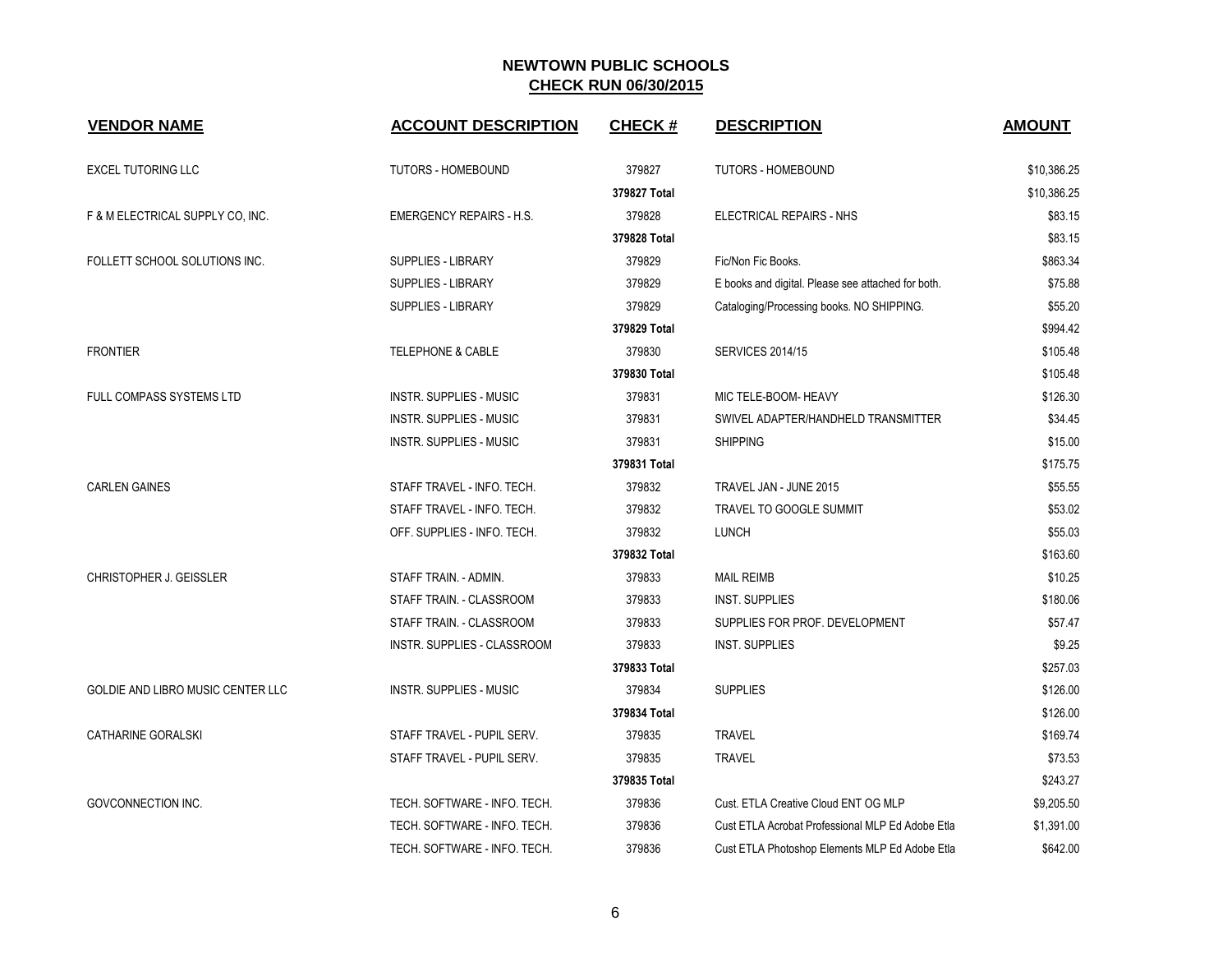| <b>VENDOR NAME</b>                | <b>ACCOUNT DESCRIPTION</b>      | <b>CHECK#</b> | <b>DESCRIPTION</b>                                 | <b>AMOUNT</b> |
|-----------------------------------|---------------------------------|---------------|----------------------------------------------------|---------------|
| <b>EXCEL TUTORING LLC</b>         | <b>TUTORS - HOMEBOUND</b>       | 379827        | TUTORS - HOMEBOUND                                 | \$10,386.25   |
|                                   |                                 | 379827 Total  |                                                    | \$10,386.25   |
| F & M ELECTRICAL SUPPLY CO, INC.  | <b>EMERGENCY REPAIRS - H.S.</b> | 379828        | ELECTRICAL REPAIRS - NHS                           | \$83.15       |
|                                   |                                 | 379828 Total  |                                                    | \$83.15       |
| FOLLETT SCHOOL SOLUTIONS INC.     | SUPPLIES - LIBRARY              | 379829        | Fic/Non Fic Books.                                 | \$863.34      |
|                                   | SUPPLIES - LIBRARY              | 379829        | E books and digital. Please see attached for both. | \$75.88       |
|                                   | <b>SUPPLIES - LIBRARY</b>       | 379829        | Cataloging/Processing books. NO SHIPPING.          | \$55.20       |
|                                   |                                 | 379829 Total  |                                                    | \$994.42      |
| <b>FRONTIER</b>                   | <b>TELEPHONE &amp; CABLE</b>    | 379830        | <b>SERVICES 2014/15</b>                            | \$105.48      |
|                                   |                                 | 379830 Total  |                                                    | \$105.48      |
| FULL COMPASS SYSTEMS LTD          | <b>INSTR. SUPPLIES - MUSIC</b>  | 379831        | MIC TELE-BOOM- HEAVY                               | \$126.30      |
|                                   | <b>INSTR. SUPPLIES - MUSIC</b>  | 379831        | SWIVEL ADAPTER/HANDHELD TRANSMITTER                | \$34.45       |
|                                   | <b>INSTR. SUPPLIES - MUSIC</b>  | 379831        | <b>SHIPPING</b>                                    | \$15.00       |
|                                   |                                 | 379831 Total  |                                                    | \$175.75      |
| <b>CARLEN GAINES</b>              | STAFF TRAVEL - INFO. TECH.      | 379832        | TRAVEL JAN - JUNE 2015                             | \$55.55       |
|                                   | STAFF TRAVEL - INFO. TECH.      | 379832        | TRAVEL TO GOOGLE SUMMIT                            | \$53.02       |
|                                   | OFF. SUPPLIES - INFO. TECH.     | 379832        | <b>LUNCH</b>                                       | \$55.03       |
|                                   |                                 | 379832 Total  |                                                    | \$163.60      |
| CHRISTOPHER J. GEISSLER           | STAFF TRAIN. - ADMIN.           | 379833        | <b>MAIL REIMB</b>                                  | \$10.25       |
|                                   | STAFF TRAIN. - CLASSROOM        | 379833        | <b>INST. SUPPLIES</b>                              | \$180.06      |
|                                   | STAFF TRAIN. - CLASSROOM        | 379833        | SUPPLIES FOR PROF. DEVELOPMENT                     | \$57.47       |
|                                   | INSTR. SUPPLIES - CLASSROOM     | 379833        | <b>INST. SUPPLIES</b>                              | \$9.25        |
|                                   |                                 | 379833 Total  |                                                    | \$257.03      |
| GOLDIE AND LIBRO MUSIC CENTER LLC | <b>INSTR. SUPPLIES - MUSIC</b>  | 379834        | <b>SUPPLIES</b>                                    | \$126.00      |
|                                   |                                 | 379834 Total  |                                                    | \$126.00      |
| CATHARINE GORALSKI                | STAFF TRAVEL - PUPIL SERV.      | 379835        | <b>TRAVEL</b>                                      | \$169.74      |
|                                   | STAFF TRAVEL - PUPIL SERV.      | 379835        | <b>TRAVEL</b>                                      | \$73.53       |
|                                   |                                 | 379835 Total  |                                                    | \$243.27      |
| GOVCONNECTION INC.                | TECH. SOFTWARE - INFO. TECH.    | 379836        | Cust. ETLA Creative Cloud ENT OG MLP               | \$9,205.50    |
|                                   | TECH. SOFTWARE - INFO. TECH.    | 379836        | Cust ETLA Acrobat Professional MLP Ed Adobe Etla   | \$1,391.00    |
|                                   | TECH. SOFTWARE - INFO. TECH.    | 379836        | Cust ETLA Photoshop Elements MLP Ed Adobe Etla     | \$642.00      |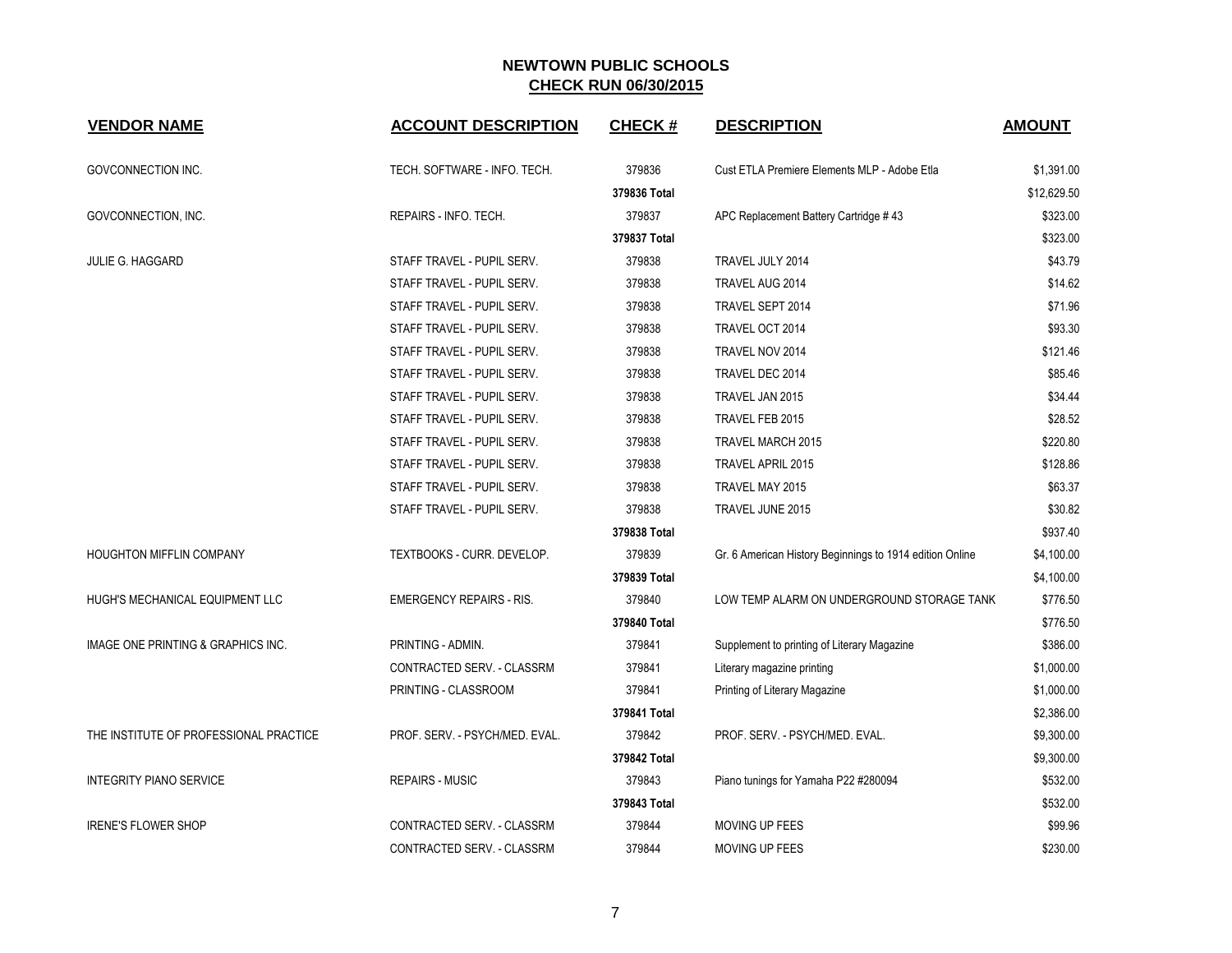| <b>VENDOR NAME</b>                     | <b>ACCOUNT DESCRIPTION</b>      | <b>CHECK#</b> | <b>DESCRIPTION</b>                                       | <b>AMOUNT</b> |
|----------------------------------------|---------------------------------|---------------|----------------------------------------------------------|---------------|
| <b>GOVCONNECTION INC.</b>              | TECH. SOFTWARE - INFO. TECH.    | 379836        | Cust ETLA Premiere Elements MLP - Adobe Etla             | \$1,391.00    |
|                                        |                                 | 379836 Total  |                                                          | \$12,629.50   |
| GOVCONNECTION, INC.                    | REPAIRS - INFO. TECH.           | 379837        | APC Replacement Battery Cartridge #43                    | \$323.00      |
|                                        |                                 | 379837 Total  |                                                          | \$323.00      |
| <b>JULIE G. HAGGARD</b>                | STAFF TRAVEL - PUPIL SERV.      | 379838        | TRAVEL JULY 2014                                         | \$43.79       |
|                                        | STAFF TRAVEL - PUPIL SERV.      | 379838        | TRAVEL AUG 2014                                          | \$14.62       |
|                                        | STAFF TRAVEL - PUPIL SERV.      | 379838        | TRAVEL SEPT 2014                                         | \$71.96       |
|                                        | STAFF TRAVEL - PUPIL SERV.      | 379838        | TRAVEL OCT 2014                                          | \$93.30       |
|                                        | STAFF TRAVEL - PUPIL SERV.      | 379838        | TRAVEL NOV 2014                                          | \$121.46      |
|                                        | STAFF TRAVEL - PUPIL SERV.      | 379838        | TRAVEL DEC 2014                                          | \$85.46       |
|                                        | STAFF TRAVEL - PUPIL SERV.      | 379838        | TRAVEL JAN 2015                                          | \$34.44       |
|                                        | STAFF TRAVEL - PUPIL SERV.      | 379838        | TRAVEL FEB 2015                                          | \$28.52       |
|                                        | STAFF TRAVEL - PUPIL SERV.      | 379838        | TRAVEL MARCH 2015                                        | \$220.80      |
|                                        | STAFF TRAVEL - PUPIL SERV.      | 379838        | <b>TRAVEL APRIL 2015</b>                                 | \$128.86      |
|                                        | STAFF TRAVEL - PUPIL SERV.      | 379838        | TRAVEL MAY 2015                                          | \$63.37       |
|                                        | STAFF TRAVEL - PUPIL SERV.      | 379838        | TRAVEL JUNE 2015                                         | \$30.82       |
|                                        |                                 | 379838 Total  |                                                          | \$937.40      |
| HOUGHTON MIFFLIN COMPANY               | TEXTBOOKS - CURR. DEVELOP.      | 379839        | Gr. 6 American History Beginnings to 1914 edition Online | \$4,100.00    |
|                                        |                                 | 379839 Total  |                                                          | \$4,100.00    |
| HUGH'S MECHANICAL EQUIPMENT LLC        | <b>EMERGENCY REPAIRS - RIS.</b> | 379840        | LOW TEMP ALARM ON UNDERGROUND STORAGE TANK               | \$776.50      |
|                                        |                                 | 379840 Total  |                                                          | \$776.50      |
| IMAGE ONE PRINTING & GRAPHICS INC.     | PRINTING - ADMIN.               | 379841        | Supplement to printing of Literary Magazine              | \$386.00      |
|                                        | CONTRACTED SERV. - CLASSRM      | 379841        | Literary magazine printing                               | \$1,000.00    |
|                                        | PRINTING - CLASSROOM            | 379841        | Printing of Literary Magazine                            | \$1,000.00    |
|                                        |                                 | 379841 Total  |                                                          | \$2,386.00    |
| THE INSTITUTE OF PROFESSIONAL PRACTICE | PROF. SERV. - PSYCH/MED. EVAL.  | 379842        | PROF. SERV. - PSYCH/MED. EVAL.                           | \$9,300.00    |
|                                        |                                 | 379842 Total  |                                                          | \$9,300.00    |
| <b>INTEGRITY PIANO SERVICE</b>         | <b>REPAIRS - MUSIC</b>          | 379843        | Piano tunings for Yamaha P22 #280094                     | \$532.00      |
|                                        |                                 | 379843 Total  |                                                          | \$532.00      |
| <b>IRENE'S FLOWER SHOP</b>             | CONTRACTED SERV. - CLASSRM      | 379844        | MOVING UP FEES                                           | \$99.96       |
|                                        | CONTRACTED SERV. - CLASSRM      | 379844        | <b>MOVING UP FEES</b>                                    | \$230.00      |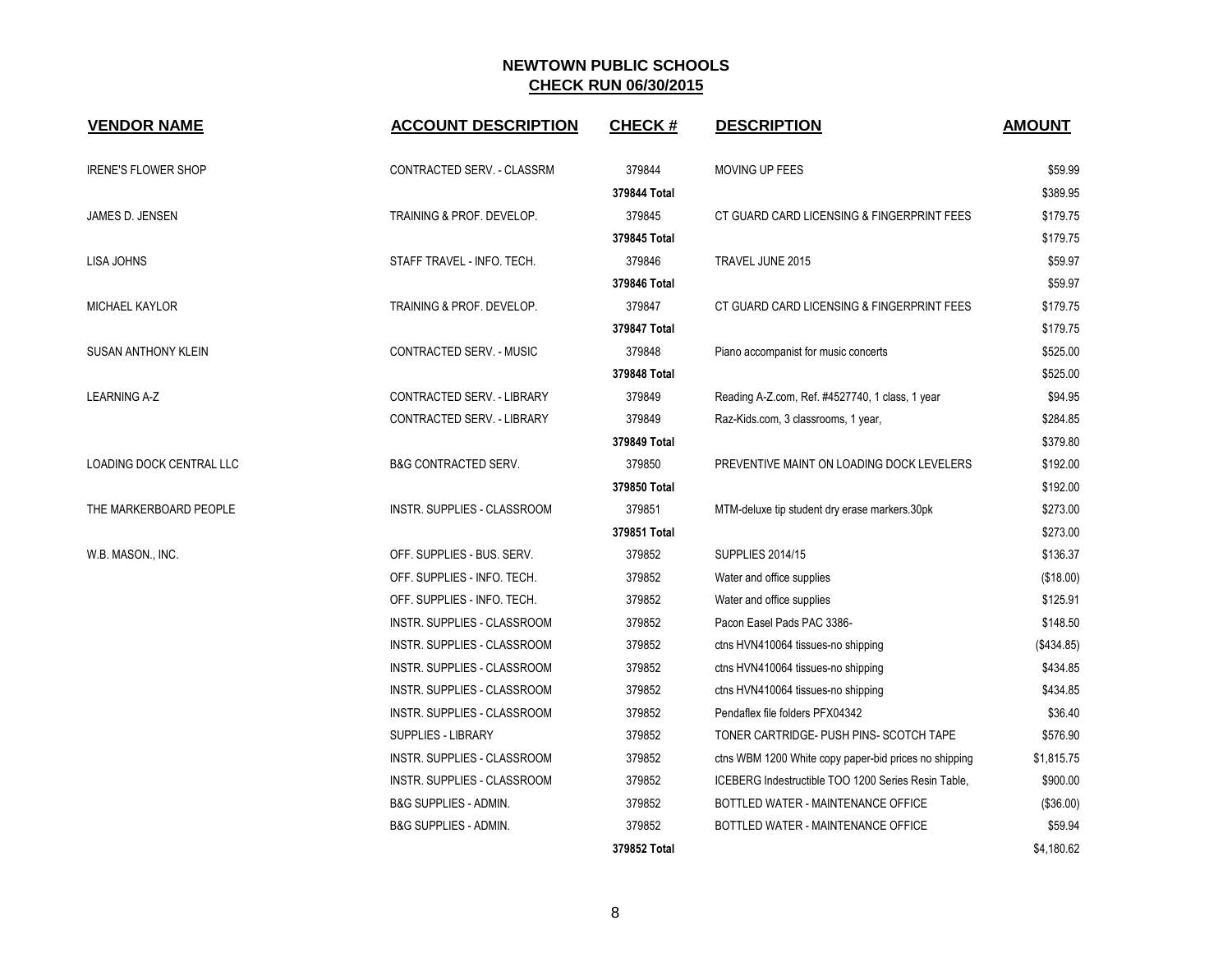| <b>VENDOR NAME</b>              | <b>ACCOUNT DESCRIPTION</b>        | <b>CHECK#</b> | <b>DESCRIPTION</b>                                    | <b>AMOUNT</b> |
|---------------------------------|-----------------------------------|---------------|-------------------------------------------------------|---------------|
| <b>IRENE'S FLOWER SHOP</b>      | CONTRACTED SERV. - CLASSRM        | 379844        | MOVING UP FEES                                        | \$59.99       |
|                                 |                                   | 379844 Total  |                                                       | \$389.95      |
| JAMES D. JENSEN                 | TRAINING & PROF. DEVELOP.         | 379845        | CT GUARD CARD LICENSING & FINGERPRINT FEES            | \$179.75      |
|                                 |                                   | 379845 Total  |                                                       | \$179.75      |
| <b>LISA JOHNS</b>               | STAFF TRAVEL - INFO. TECH.        | 379846        | TRAVEL JUNE 2015                                      | \$59.97       |
|                                 |                                   | 379846 Total  |                                                       | \$59.97       |
| <b>MICHAEL KAYLOR</b>           | TRAINING & PROF. DEVELOP.         | 379847        | CT GUARD CARD LICENSING & FINGERPRINT FEES            | \$179.75      |
|                                 |                                   | 379847 Total  |                                                       | \$179.75      |
| <b>SUSAN ANTHONY KLEIN</b>      | CONTRACTED SERV. - MUSIC          | 379848        | Piano accompanist for music concerts                  | \$525.00      |
|                                 |                                   | 379848 Total  |                                                       | \$525.00      |
| <b>LEARNING A-Z</b>             | <b>CONTRACTED SERV. - LIBRARY</b> | 379849        | Reading A-Z.com, Ref. #4527740, 1 class, 1 year       | \$94.95       |
|                                 | CONTRACTED SERV. - LIBRARY        | 379849        | Raz-Kids.com, 3 classrooms, 1 year,                   | \$284.85      |
|                                 |                                   | 379849 Total  |                                                       | \$379.80      |
| <b>LOADING DOCK CENTRAL LLC</b> | <b>B&amp;G CONTRACTED SERV.</b>   | 379850        | PREVENTIVE MAINT ON LOADING DOCK LEVELERS             | \$192.00      |
|                                 |                                   | 379850 Total  |                                                       | \$192.00      |
| THE MARKERBOARD PEOPLE          | INSTR. SUPPLIES - CLASSROOM       | 379851        | MTM-deluxe tip student dry erase markers.30pk         | \$273.00      |
|                                 |                                   | 379851 Total  |                                                       | \$273.00      |
| W.B. MASON., INC.               | OFF. SUPPLIES - BUS. SERV.        | 379852        | <b>SUPPLIES 2014/15</b>                               | \$136.37      |
|                                 | OFF. SUPPLIES - INFO. TECH.       | 379852        | Water and office supplies                             | (\$18.00)     |
|                                 | OFF. SUPPLIES - INFO. TECH.       | 379852        | Water and office supplies                             | \$125.91      |
|                                 | INSTR. SUPPLIES - CLASSROOM       | 379852        | Pacon Easel Pads PAC 3386-                            | \$148.50      |
|                                 | INSTR. SUPPLIES - CLASSROOM       | 379852        | ctns HVN410064 tissues-no shipping                    | (\$434.85)    |
|                                 | INSTR. SUPPLIES - CLASSROOM       | 379852        | ctns HVN410064 tissues-no shipping                    | \$434.85      |
|                                 | INSTR. SUPPLIES - CLASSROOM       | 379852        | ctns HVN410064 tissues-no shipping                    | \$434.85      |
|                                 | INSTR. SUPPLIES - CLASSROOM       | 379852        | Pendaflex file folders PFX04342                       | \$36.40       |
|                                 | <b>SUPPLIES - LIBRARY</b>         | 379852        | TONER CARTRIDGE- PUSH PINS- SCOTCH TAPE               | \$576.90      |
|                                 | INSTR. SUPPLIES - CLASSROOM       | 379852        | ctns WBM 1200 White copy paper-bid prices no shipping | \$1,815.75    |
|                                 | INSTR. SUPPLIES - CLASSROOM       | 379852        | ICEBERG Indestructible TOO 1200 Series Resin Table,   | \$900.00      |
|                                 | B&G SUPPLIES - ADMIN.             | 379852        | BOTTLED WATER - MAINTENANCE OFFICE                    | (\$36.00)     |
|                                 | <b>B&amp;G SUPPLIES - ADMIN.</b>  | 379852        | BOTTLED WATER - MAINTENANCE OFFICE                    | \$59.94       |
|                                 |                                   | 379852 Total  |                                                       | \$4,180.62    |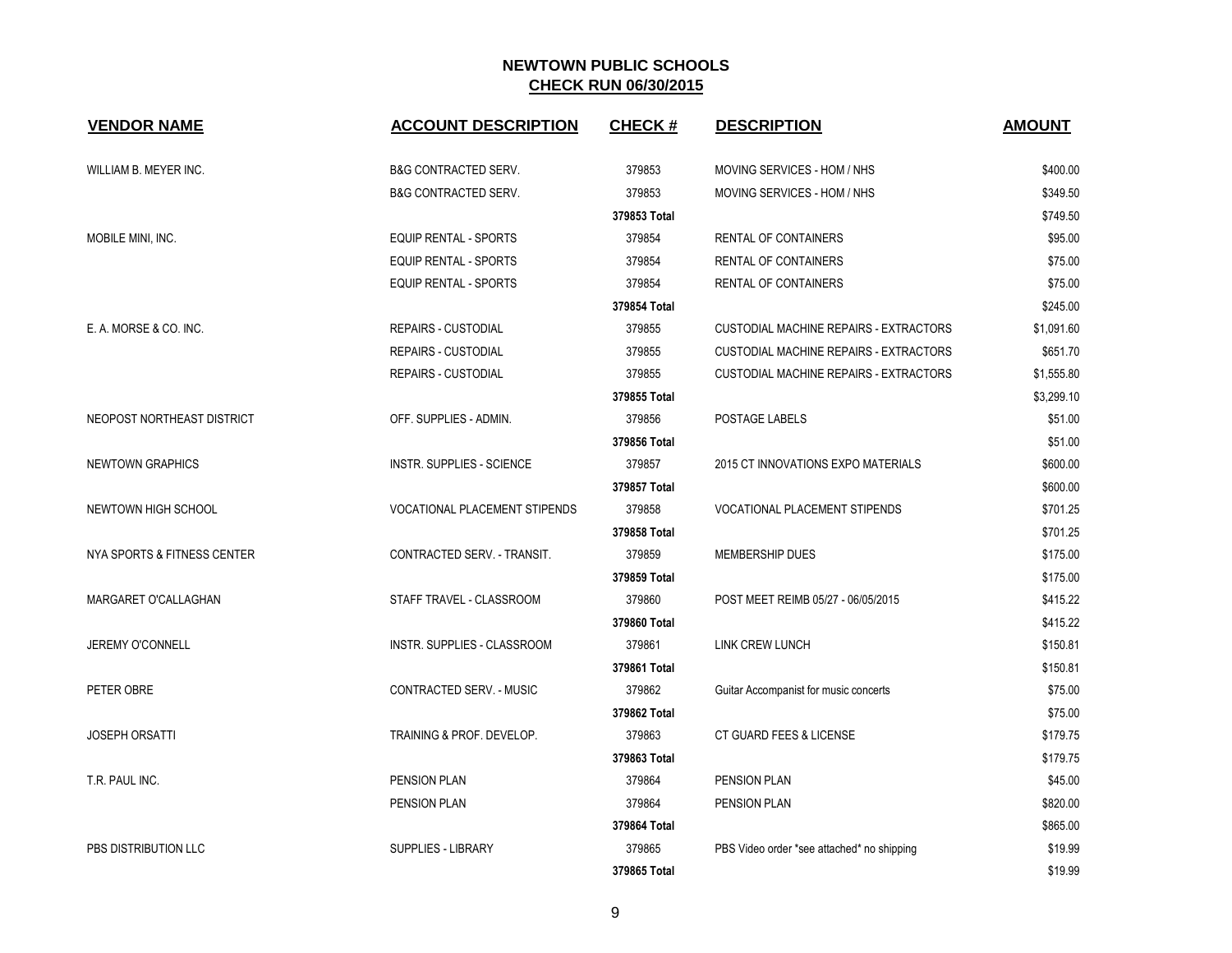| <b>VENDOR NAME</b>          | <b>ACCOUNT DESCRIPTION</b>           | <b>CHECK#</b> | <b>DESCRIPTION</b>                            | <b>AMOUNT</b> |
|-----------------------------|--------------------------------------|---------------|-----------------------------------------------|---------------|
| WILLIAM B. MEYER INC.       | <b>B&amp;G CONTRACTED SERV.</b>      | 379853        | MOVING SERVICES - HOM / NHS                   | \$400.00      |
|                             | <b>B&amp;G CONTRACTED SERV.</b>      | 379853        | MOVING SERVICES - HOM / NHS                   | \$349.50      |
|                             |                                      | 379853 Total  |                                               | \$749.50      |
| MOBILE MINI, INC.           | <b>EQUIP RENTAL - SPORTS</b>         | 379854        | RENTAL OF CONTAINERS                          | \$95.00       |
|                             | <b>EQUIP RENTAL - SPORTS</b>         | 379854        | RENTAL OF CONTAINERS                          | \$75.00       |
|                             | <b>EQUIP RENTAL - SPORTS</b>         | 379854        | <b>RENTAL OF CONTAINERS</b>                   | \$75.00       |
|                             |                                      | 379854 Total  |                                               | \$245.00      |
| E. A. MORSE & CO. INC.      | REPAIRS - CUSTODIAL                  | 379855        | <b>CUSTODIAL MACHINE REPAIRS - EXTRACTORS</b> | \$1,091.60    |
|                             | <b>REPAIRS - CUSTODIAL</b>           | 379855        | <b>CUSTODIAL MACHINE REPAIRS - EXTRACTORS</b> | \$651.70      |
|                             | <b>REPAIRS - CUSTODIAL</b>           | 379855        | CUSTODIAL MACHINE REPAIRS - EXTRACTORS        | \$1,555.80    |
|                             |                                      | 379855 Total  |                                               | \$3,299.10    |
| NEOPOST NORTHEAST DISTRICT  | OFF. SUPPLIES - ADMIN.               | 379856        | POSTAGE LABELS                                | \$51.00       |
|                             |                                      | 379856 Total  |                                               | \$51.00       |
| <b>NEWTOWN GRAPHICS</b>     | <b>INSTR. SUPPLIES - SCIENCE</b>     | 379857        | 2015 CT INNOVATIONS EXPO MATERIALS            | \$600.00      |
|                             |                                      | 379857 Total  |                                               | \$600.00      |
| NEWTOWN HIGH SCHOOL         | <b>VOCATIONAL PLACEMENT STIPENDS</b> | 379858        | <b>VOCATIONAL PLACEMENT STIPENDS</b>          | \$701.25      |
|                             |                                      | 379858 Total  |                                               | \$701.25      |
| NYA SPORTS & FITNESS CENTER | CONTRACTED SERV. - TRANSIT.          | 379859        | MEMBERSHIP DUES                               | \$175.00      |
|                             |                                      | 379859 Total  |                                               | \$175.00      |
| MARGARET O'CALLAGHAN        | STAFF TRAVEL - CLASSROOM             | 379860        | POST MEET REIMB 05/27 - 06/05/2015            | \$415.22      |
|                             |                                      | 379860 Total  |                                               | \$415.22      |
| JEREMY O'CONNELL            | <b>INSTR. SUPPLIES - CLASSROOM</b>   | 379861        | <b>LINK CREW LUNCH</b>                        | \$150.81      |
|                             |                                      | 379861 Total  |                                               | \$150.81      |
| PETER OBRE                  | CONTRACTED SERV. - MUSIC             | 379862        | Guitar Accompanist for music concerts         | \$75.00       |
|                             |                                      | 379862 Total  |                                               | \$75.00       |
| <b>JOSEPH ORSATTI</b>       | TRAINING & PROF. DEVELOP.            | 379863        | CT GUARD FEES & LICENSE                       | \$179.75      |
|                             |                                      | 379863 Total  |                                               | \$179.75      |
| T.R. PAUL INC.              | PENSION PLAN                         | 379864        | PENSION PLAN                                  | \$45.00       |
|                             | PENSION PLAN                         | 379864        | PENSION PLAN                                  | \$820.00      |
|                             |                                      | 379864 Total  |                                               | \$865.00      |
| PBS DISTRIBUTION LLC        | <b>SUPPLIES - LIBRARY</b>            | 379865        | PBS Video order *see attached* no shipping    | \$19.99       |
|                             |                                      | 379865 Total  |                                               | \$19.99       |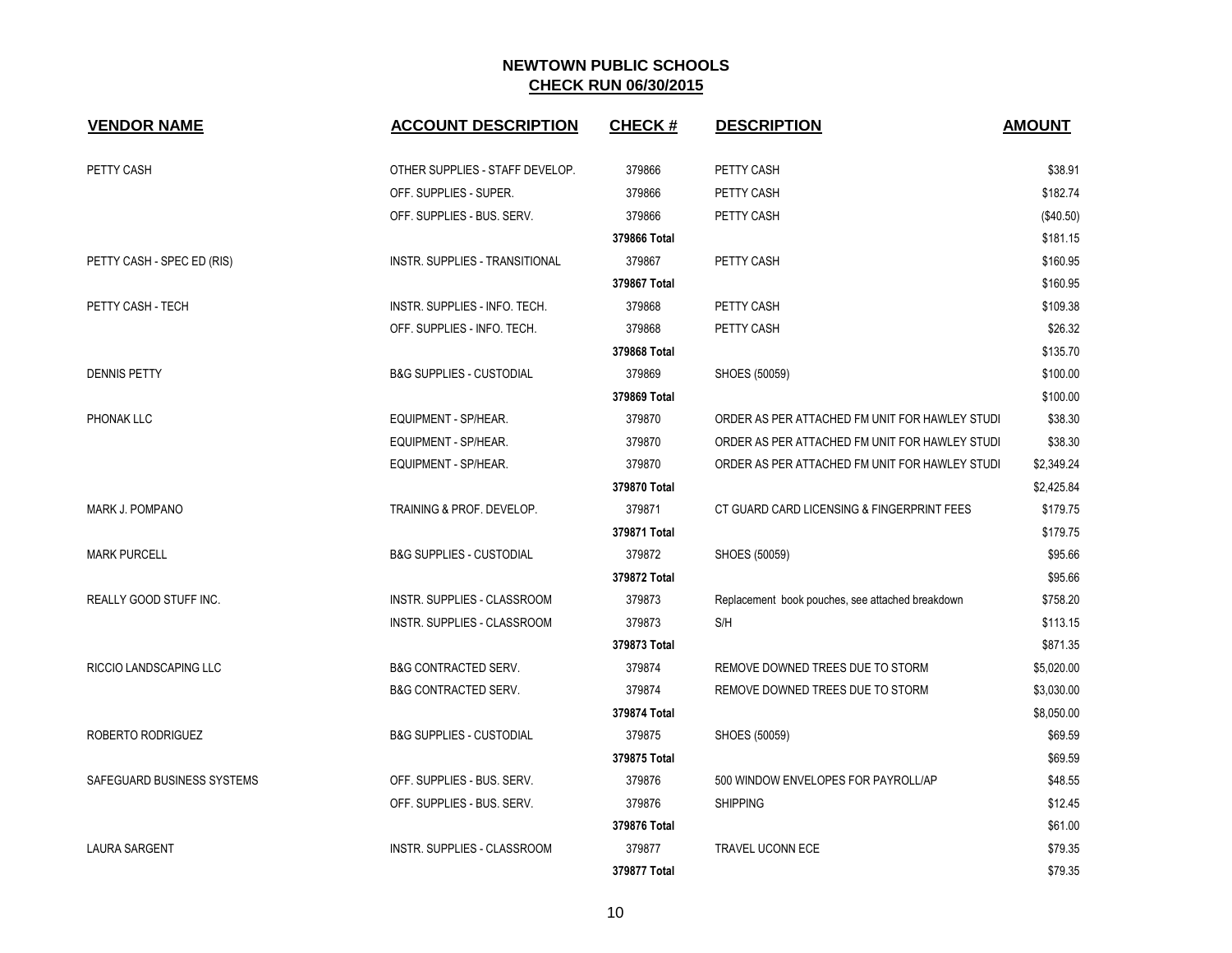| <b>VENDOR NAME</b>            | <b>ACCOUNT DESCRIPTION</b>          | <b>CHECK#</b> | <b>DESCRIPTION</b>                               | <b>AMOUNT</b> |
|-------------------------------|-------------------------------------|---------------|--------------------------------------------------|---------------|
|                               |                                     |               |                                                  |               |
| PETTY CASH                    | OTHER SUPPLIES - STAFF DEVELOP.     | 379866        | PETTY CASH                                       | \$38.91       |
|                               | OFF. SUPPLIES - SUPER.              | 379866        | PETTY CASH                                       | \$182.74      |
|                               | OFF. SUPPLIES - BUS. SERV.          | 379866        | PETTY CASH                                       | (\$40.50)     |
|                               |                                     | 379866 Total  |                                                  | \$181.15      |
| PETTY CASH - SPEC ED (RIS)    | INSTR. SUPPLIES - TRANSITIONAL      | 379867        | PETTY CASH                                       | \$160.95      |
|                               |                                     | 379867 Total  |                                                  | \$160.95      |
| PETTY CASH - TECH             | INSTR. SUPPLIES - INFO. TECH.       | 379868        | PETTY CASH                                       | \$109.38      |
|                               | OFF. SUPPLIES - INFO. TECH.         | 379868        | PETTY CASH                                       | \$26.32       |
|                               |                                     | 379868 Total  |                                                  | \$135.70      |
| <b>DENNIS PETTY</b>           | <b>B&amp;G SUPPLIES - CUSTODIAL</b> | 379869        | SHOES (50059)                                    | \$100.00      |
|                               |                                     | 379869 Total  |                                                  | \$100.00      |
| PHONAK LLC                    | EQUIPMENT - SP/HEAR.                | 379870        | ORDER AS PER ATTACHED FM UNIT FOR HAWLEY STUDI   | \$38.30       |
|                               | <b>EQUIPMENT - SP/HEAR.</b>         | 379870        | ORDER AS PER ATTACHED FM UNIT FOR HAWLEY STUDI   | \$38.30       |
|                               | EQUIPMENT - SP/HEAR.                | 379870        | ORDER AS PER ATTACHED FM UNIT FOR HAWLEY STUDI   | \$2,349.24    |
|                               |                                     | 379870 Total  |                                                  | \$2,425.84    |
| MARK J. POMPANO               | TRAINING & PROF. DEVELOP.           | 379871        | CT GUARD CARD LICENSING & FINGERPRINT FEES       | \$179.75      |
|                               |                                     | 379871 Total  |                                                  | \$179.75      |
| <b>MARK PURCELL</b>           | <b>B&amp;G SUPPLIES - CUSTODIAL</b> | 379872        | SHOES (50059)                                    | \$95.66       |
|                               |                                     | 379872 Total  |                                                  | \$95.66       |
| <b>REALLY GOOD STUFF INC.</b> | <b>INSTR. SUPPLIES - CLASSROOM</b>  | 379873        | Replacement book pouches, see attached breakdown | \$758.20      |
|                               | INSTR. SUPPLIES - CLASSROOM         | 379873        | S/H                                              | \$113.15      |
|                               |                                     | 379873 Total  |                                                  | \$871.35      |
| RICCIO LANDSCAPING LLC        | <b>B&amp;G CONTRACTED SERV.</b>     | 379874        | REMOVE DOWNED TREES DUE TO STORM                 | \$5,020.00    |
|                               | <b>B&amp;G CONTRACTED SERV.</b>     | 379874        | REMOVE DOWNED TREES DUE TO STORM                 | \$3,030.00    |
|                               |                                     | 379874 Total  |                                                  | \$8,050.00    |
| ROBERTO RODRIGUEZ             | <b>B&amp;G SUPPLIES - CUSTODIAL</b> | 379875        | SHOES (50059)                                    | \$69.59       |
|                               |                                     | 379875 Total  |                                                  | \$69.59       |
| SAFEGUARD BUSINESS SYSTEMS    | OFF. SUPPLIES - BUS. SERV.          | 379876        | 500 WINDOW ENVELOPES FOR PAYROLL/AP              | \$48.55       |
|                               | OFF. SUPPLIES - BUS. SERV.          | 379876        | <b>SHIPPING</b>                                  | \$12.45       |
|                               |                                     | 379876 Total  |                                                  | \$61.00       |
| <b>LAURA SARGENT</b>          | INSTR. SUPPLIES - CLASSROOM         | 379877        | <b>TRAVEL UCONN ECE</b>                          | \$79.35       |
|                               |                                     | 379877 Total  |                                                  | \$79.35       |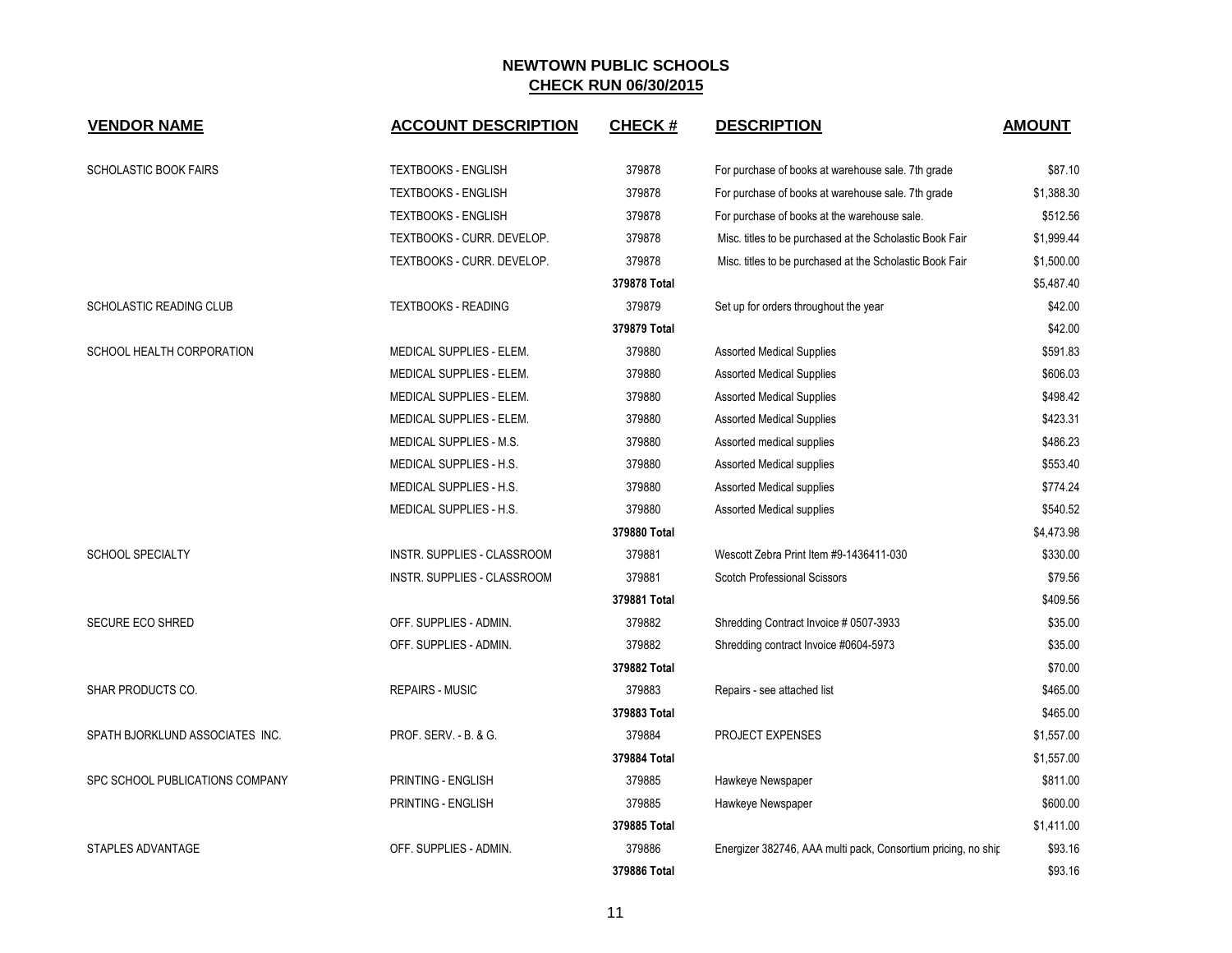| <b>VENDOR NAME</b>              | <b>ACCOUNT DESCRIPTION</b>  | <b>CHECK#</b> | <b>DESCRIPTION</b>                                            | <b>AMOUNT</b> |
|---------------------------------|-----------------------------|---------------|---------------------------------------------------------------|---------------|
| <b>SCHOLASTIC BOOK FAIRS</b>    | <b>TEXTBOOKS - ENGLISH</b>  | 379878        | For purchase of books at warehouse sale. 7th grade            | \$87.10       |
|                                 | <b>TEXTBOOKS - ENGLISH</b>  | 379878        | For purchase of books at warehouse sale. 7th grade            | \$1,388.30    |
|                                 | <b>TEXTBOOKS - ENGLISH</b>  | 379878        | For purchase of books at the warehouse sale.                  | \$512.56      |
|                                 | TEXTBOOKS - CURR. DEVELOP.  | 379878        | Misc. titles to be purchased at the Scholastic Book Fair      | \$1,999.44    |
|                                 | TEXTBOOKS - CURR. DEVELOP.  | 379878        | Misc. titles to be purchased at the Scholastic Book Fair      | \$1,500.00    |
|                                 |                             | 379878 Total  |                                                               | \$5,487.40    |
| SCHOLASTIC READING CLUB         | <b>TEXTBOOKS - READING</b>  | 379879        | Set up for orders throughout the year                         | \$42.00       |
|                                 |                             | 379879 Total  |                                                               | \$42.00       |
| SCHOOL HEALTH CORPORATION       | MEDICAL SUPPLIES - ELEM.    | 379880        | <b>Assorted Medical Supplies</b>                              | \$591.83      |
|                                 | MEDICAL SUPPLIES - ELEM.    | 379880        | <b>Assorted Medical Supplies</b>                              | \$606.03      |
|                                 | MEDICAL SUPPLIES - ELEM.    | 379880        | <b>Assorted Medical Supplies</b>                              | \$498.42      |
|                                 | MEDICAL SUPPLIES - ELEM.    | 379880        | <b>Assorted Medical Supplies</b>                              | \$423.31      |
|                                 | MEDICAL SUPPLIES - M.S.     | 379880        | Assorted medical supplies                                     | \$486.23      |
|                                 | MEDICAL SUPPLIES - H.S.     | 379880        | Assorted Medical supplies                                     | \$553.40      |
|                                 | MEDICAL SUPPLIES - H.S.     | 379880        | Assorted Medical supplies                                     | \$774.24      |
|                                 | MEDICAL SUPPLIES - H.S.     | 379880        | Assorted Medical supplies                                     | \$540.52      |
|                                 |                             | 379880 Total  |                                                               | \$4,473.98    |
| <b>SCHOOL SPECIALTY</b>         | INSTR. SUPPLIES - CLASSROOM | 379881        | Wescott Zebra Print Item #9-1436411-030                       | \$330.00      |
|                                 | INSTR. SUPPLIES - CLASSROOM | 379881        | <b>Scotch Professional Scissors</b>                           | \$79.56       |
|                                 |                             | 379881 Total  |                                                               | \$409.56      |
| <b>SECURE ECO SHRED</b>         | OFF. SUPPLIES - ADMIN.      | 379882        | Shredding Contract Invoice # 0507-3933                        | \$35.00       |
|                                 | OFF. SUPPLIES - ADMIN.      | 379882        | Shredding contract Invoice #0604-5973                         | \$35.00       |
|                                 |                             | 379882 Total  |                                                               | \$70.00       |
| SHAR PRODUCTS CO.               | <b>REPAIRS - MUSIC</b>      | 379883        | Repairs - see attached list                                   | \$465.00      |
|                                 |                             | 379883 Total  |                                                               | \$465.00      |
| SPATH BJORKLUND ASSOCIATES INC. | PROF. SERV. - B. & G.       | 379884        | <b>PROJECT EXPENSES</b>                                       | \$1,557.00    |
|                                 |                             | 379884 Total  |                                                               | \$1,557.00    |
| SPC SCHOOL PUBLICATIONS COMPANY | PRINTING - ENGLISH          | 379885        | Hawkeye Newspaper                                             | \$811.00      |
|                                 | PRINTING - ENGLISH          | 379885        | Hawkeye Newspaper                                             | \$600.00      |
|                                 |                             | 379885 Total  |                                                               | \$1,411.00    |
| STAPLES ADVANTAGE               | OFF. SUPPLIES - ADMIN.      | 379886        | Energizer 382746, AAA multi pack, Consortium pricing, no ship | \$93.16       |
|                                 |                             | 379886 Total  |                                                               | \$93.16       |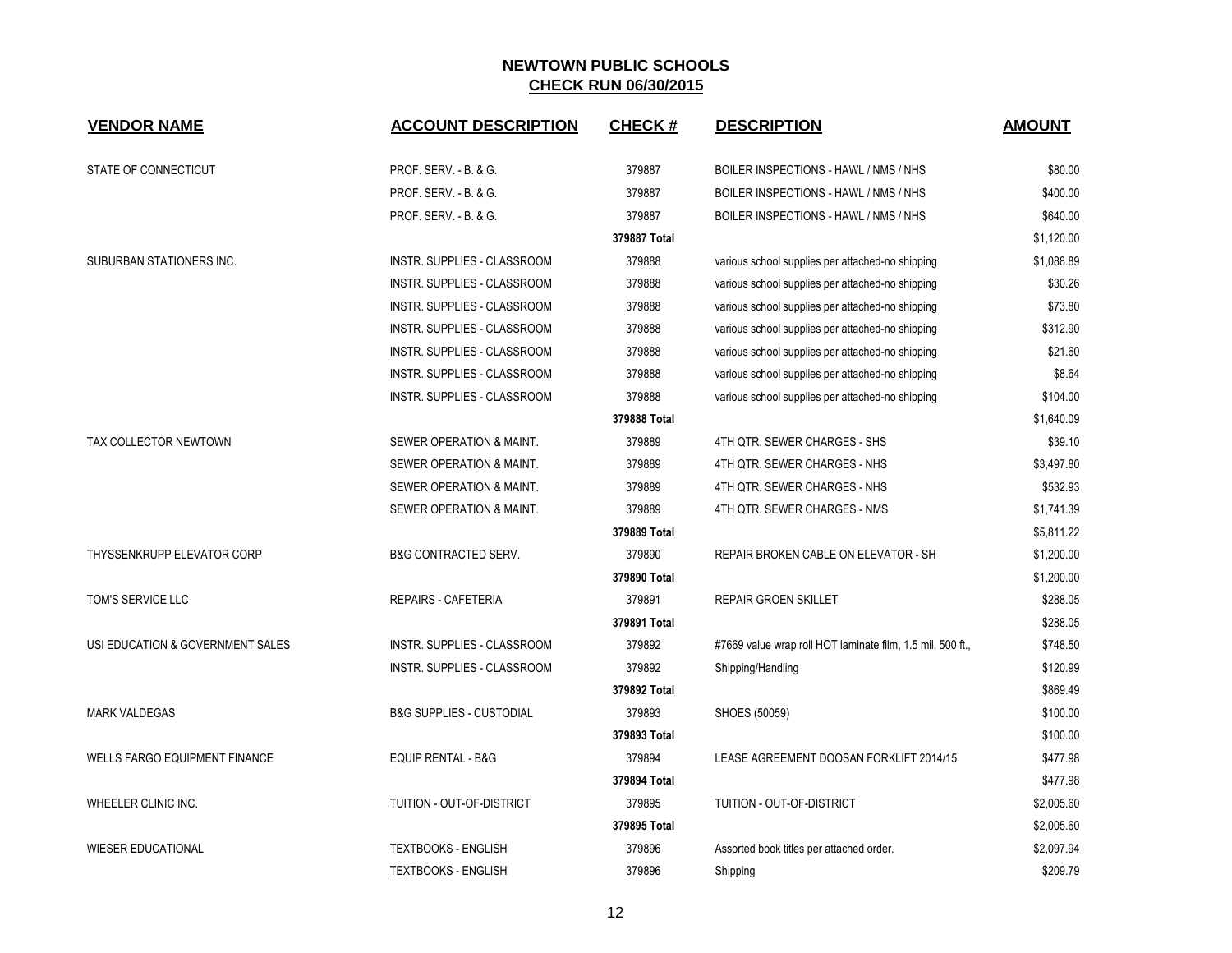| <b>VENDOR NAME</b>                   | <b>ACCOUNT DESCRIPTION</b>          | <b>CHECK#</b> | <b>DESCRIPTION</b>                                         | <b>AMOUNT</b> |
|--------------------------------------|-------------------------------------|---------------|------------------------------------------------------------|---------------|
|                                      |                                     |               |                                                            |               |
| STATE OF CONNECTICUT                 | PROF. SERV. - B. & G.               | 379887        | BOILER INSPECTIONS - HAWL / NMS / NHS                      | \$80.00       |
|                                      | PROF. SERV. - B. & G.               | 379887        | BOILER INSPECTIONS - HAWL / NMS / NHS                      | \$400.00      |
|                                      | PROF. SERV. - B. & G.               | 379887        | BOILER INSPECTIONS - HAWL / NMS / NHS                      | \$640.00      |
|                                      |                                     | 379887 Total  |                                                            | \$1,120.00    |
| SUBURBAN STATIONERS INC.             | INSTR. SUPPLIES - CLASSROOM         | 379888        | various school supplies per attached-no shipping           | \$1,088.89    |
|                                      | INSTR. SUPPLIES - CLASSROOM         | 379888        | various school supplies per attached-no shipping           | \$30.26       |
|                                      | INSTR. SUPPLIES - CLASSROOM         | 379888        | various school supplies per attached-no shipping           | \$73.80       |
|                                      | INSTR. SUPPLIES - CLASSROOM         | 379888        | various school supplies per attached-no shipping           | \$312.90      |
|                                      | INSTR. SUPPLIES - CLASSROOM         | 379888        | various school supplies per attached-no shipping           | \$21.60       |
|                                      | <b>INSTR. SUPPLIES - CLASSROOM</b>  | 379888        | various school supplies per attached-no shipping           | \$8.64        |
|                                      | INSTR. SUPPLIES - CLASSROOM         | 379888        | various school supplies per attached-no shipping           | \$104.00      |
|                                      |                                     | 379888 Total  |                                                            | \$1,640.09    |
| TAX COLLECTOR NEWTOWN                | SEWER OPERATION & MAINT.            | 379889        | 4TH QTR. SEWER CHARGES - SHS                               | \$39.10       |
|                                      | SEWER OPERATION & MAINT.            | 379889        | 4TH QTR. SEWER CHARGES - NHS                               | \$3,497.80    |
|                                      | SEWER OPERATION & MAINT.            | 379889        | 4TH QTR. SEWER CHARGES - NHS                               | \$532.93      |
|                                      | SEWER OPERATION & MAINT.            | 379889        | 4TH QTR. SEWER CHARGES - NMS                               | \$1,741.39    |
|                                      |                                     | 379889 Total  |                                                            | \$5,811.22    |
| THYSSENKRUPP ELEVATOR CORP           | <b>B&amp;G CONTRACTED SERV.</b>     | 379890        | REPAIR BROKEN CABLE ON ELEVATOR - SH                       | \$1,200.00    |
|                                      |                                     | 379890 Total  |                                                            | \$1,200.00    |
| TOM'S SERVICE LLC                    | <b>REPAIRS - CAFETERIA</b>          | 379891        | <b>REPAIR GROEN SKILLET</b>                                | \$288.05      |
|                                      |                                     | 379891 Total  |                                                            | \$288.05      |
| USI EDUCATION & GOVERNMENT SALES     | INSTR. SUPPLIES - CLASSROOM         | 379892        | #7669 value wrap roll HOT laminate film, 1.5 mil, 500 ft., | \$748.50      |
|                                      | <b>INSTR. SUPPLIES - CLASSROOM</b>  | 379892        | Shipping/Handling                                          | \$120.99      |
|                                      |                                     | 379892 Total  |                                                            | \$869.49      |
| <b>MARK VALDEGAS</b>                 | <b>B&amp;G SUPPLIES - CUSTODIAL</b> | 379893        | SHOES (50059)                                              | \$100.00      |
|                                      |                                     | 379893 Total  |                                                            | \$100.00      |
| <b>WELLS FARGO EQUIPMENT FINANCE</b> | EQUIP RENTAL - B&G                  | 379894        | LEASE AGREEMENT DOOSAN FORKLIFT 2014/15                    | \$477.98      |
|                                      |                                     | 379894 Total  |                                                            | \$477.98      |
| WHEELER CLINIC INC.                  | <b>TUITION - OUT-OF-DISTRICT</b>    | 379895        | TUITION - OUT-OF-DISTRICT                                  | \$2,005.60    |
|                                      |                                     | 379895 Total  |                                                            | \$2,005.60    |
| <b>WIESER EDUCATIONAL</b>            | <b>TEXTBOOKS - ENGLISH</b>          | 379896        | Assorted book titles per attached order.                   | \$2,097.94    |
|                                      | <b>TEXTBOOKS - ENGLISH</b>          | 379896        | Shipping                                                   | \$209.79      |